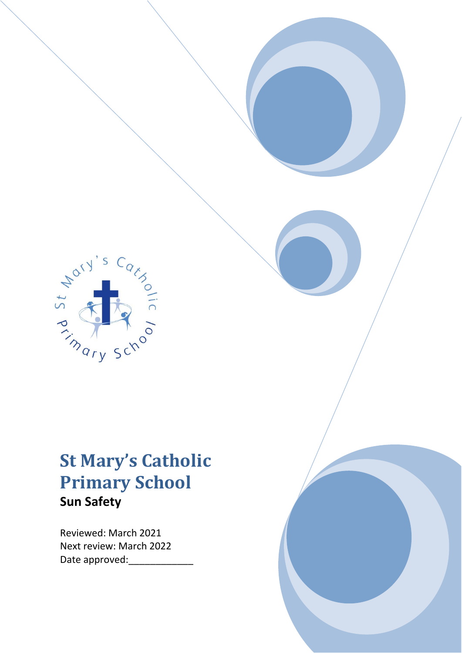

# **St Mary's Catholic Primary School Sun Safety**

Reviewed: March 2021 Next review: March 2022 Date approved: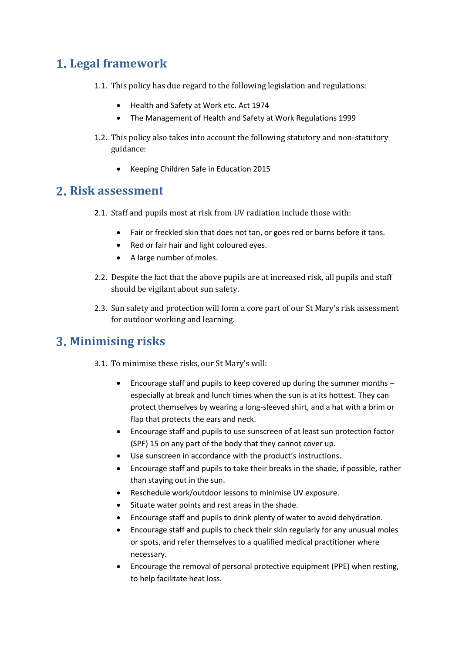### **Legal framework**

- 1.1. This policy has due regard to the following legislation and regulations:
	- Health and Safety at Work etc. Act 1974
	- The Management of Health and Safety at Work Regulations 1999
- 1.2. This policy also takes into account the following statutory and non-statutory guidance:
	- Keeping Children Safe in Education 2015

#### **Risk assessment**

- 2.1. Staff and pupils most at risk from UV radiation include those with:
	- Fair or freckled skin that does not tan, or goes red or burns before it tans.
	- Red or fair hair and light coloured eyes.
	- A large number of moles.
- 2.2. Despite the fact that the above pupils are at increased risk, all pupils and staff should be vigilant about sun safety.
- 2.3. Sun safety and protection will form a core part of our St Mary's risk assessment for outdoor working and learning.

### **Minimising risks**

- 3.1. To minimise these risks, our St Mary's will:
	- Encourage staff and pupils to keep covered up during the summer months especially at break and lunch times when the sun is at its hottest. They can protect themselves by wearing a long-sleeved shirt, and a hat with a brim or flap that protects the ears and neck.
	- Encourage staff and pupils to use sunscreen of at least sun protection factor (SPF) 15 on any part of the body that they cannot cover up.
	- Use sunscreen in accordance with the product's instructions.
	- Encourage staff and pupils to take their breaks in the shade, if possible, rather than staying out in the sun.
	- Reschedule work/outdoor lessons to minimise UV exposure.
	- Situate water points and rest areas in the shade.
	- Encourage staff and pupils to drink plenty of water to avoid dehydration.
	- Encourage staff and pupils to check their skin regularly for any unusual moles or spots, and refer themselves to a qualified medical practitioner where necessary.
	- Encourage the removal of personal protective equipment (PPE) when resting, to help facilitate heat loss.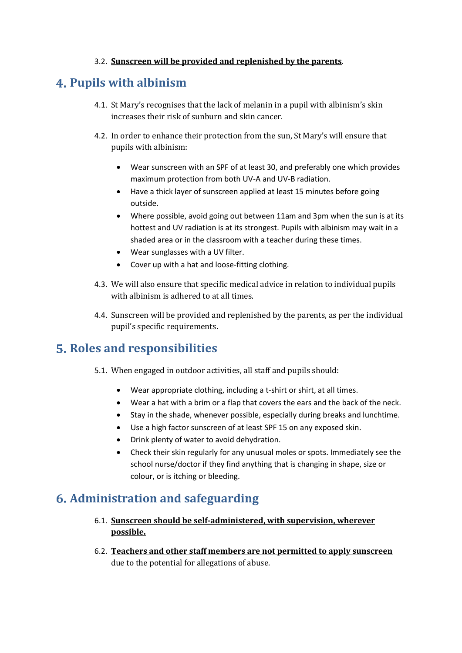#### 3.2. **Sunscreen will be provided and replenished by the parents**.

#### **Pupils with albinism**

- 4.1. St Mary's recognises that the lack of melanin in a pupil with albinism's skin increases their risk of sunburn and skin cancer.
- 4.2. In order to enhance their protection from the sun, St Mary's will ensure that pupils with albinism:
	- Wear sunscreen with an SPF of at least 30, and preferably one which provides maximum protection from both UV-A and UV-B radiation.
	- Have a thick layer of sunscreen applied at least 15 minutes before going outside.
	- Where possible, avoid going out between 11am and 3pm when the sun is at its hottest and UV radiation is at its strongest. Pupils with albinism may wait in a shaded area or in the classroom with a teacher during these times.
	- Wear sunglasses with a UV filter.
	- Cover up with a hat and loose-fitting clothing.
- 4.3. We will also ensure that specific medical advice in relation to individual pupils with albinism is adhered to at all times.
- 4.4. Sunscreen will be provided and replenished by the parents, as per the individual pupil's specific requirements.

### **Roles and responsibilities**

- 5.1. When engaged in outdoor activities, all staff and pupils should:
	- Wear appropriate clothing, including a t-shirt or shirt, at all times.
	- Wear a hat with a brim or a flap that covers the ears and the back of the neck.
	- Stay in the shade, whenever possible, especially during breaks and lunchtime.
	- Use a high factor sunscreen of at least SPF 15 on any exposed skin.
	- Drink plenty of water to avoid dehydration.
	- Check their skin regularly for any unusual moles or spots. Immediately see the school nurse/doctor if they find anything that is changing in shape, size or colour, or is itching or bleeding.

### **Administration and safeguarding**

- 6.1. **Sunscreen should be self-administered, with supervision, wherever possible.**
- 6.2. **Teachers and other staff members are not permitted to apply sunscreen**  due to the potential for allegations of abuse.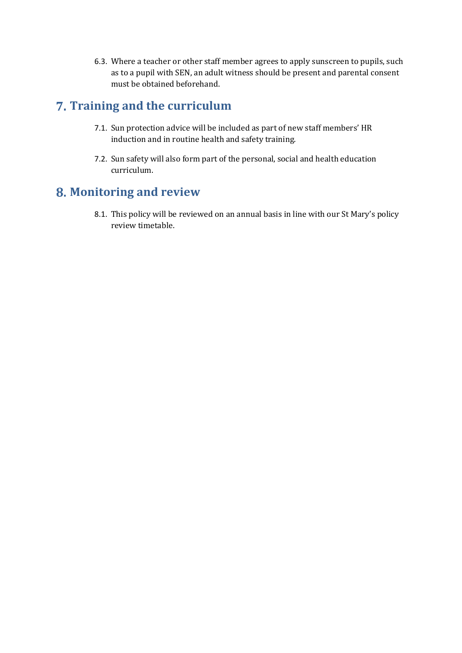6.3. Where a teacher or other staff member agrees to apply sunscreen to pupils, such as to a pupil with SEN, an adult witness should be present and parental consent must be obtained beforehand.

#### **Training and the curriculum**

- 7.1. Sun protection advice will be included as part of new staff members' HR induction and in routine health and safety training.
- 7.2. Sun safety will also form part of the personal, social and health education curriculum.

## **Monitoring and review**

8.1. This policy will be reviewed on an annual basis in line with our St Mary's policy review timetable.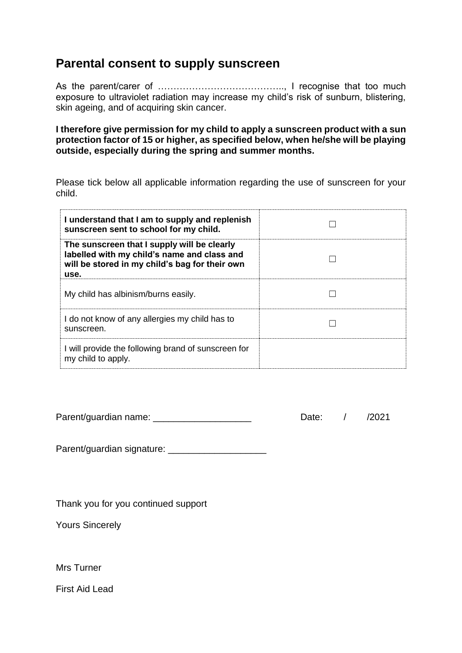#### **Parental consent to supply sunscreen**

As the parent/carer of ………………………………….., I recognise that too much exposure to ultraviolet radiation may increase my child's risk of sunburn, blistering, skin ageing, and of acquiring skin cancer.

**I therefore give permission for my child to apply a sunscreen product with a sun protection factor of 15 or higher, as specified below, when he/she will be playing outside, especially during the spring and summer months.** 

Please tick below all applicable information regarding the use of sunscreen for your child.

| I understand that I am to supply and replenish<br>sunscreen sent to school for my child.                                                             |  |
|------------------------------------------------------------------------------------------------------------------------------------------------------|--|
| The sunscreen that I supply will be clearly<br>labelled with my child's name and class and<br>will be stored in my child's bag for their own<br>use. |  |
| My child has albinism/burns easily.                                                                                                                  |  |
| I do not know of any allergies my child has to<br>sunscreen.                                                                                         |  |
| I will provide the following brand of sunscreen for<br>my child to apply.                                                                            |  |

Parent/guardian signature: \_\_\_\_\_\_\_\_\_\_\_\_\_\_\_\_\_\_\_

Thank you for you continued support

Yours Sincerely

Mrs Turner

First Aid Lead